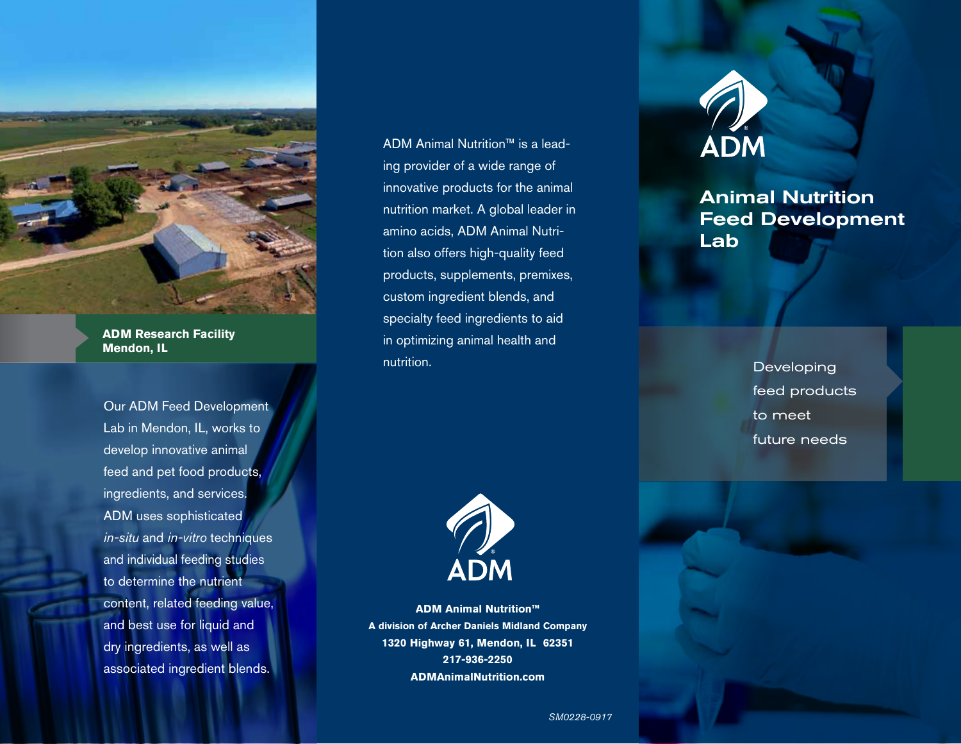

**ADM Research Facility Mendon, IL** 

Our ADM Feed Development Lab in Mendon, IL, works to develop innovative animal feed and pet food products, ingredients, and services. ADM uses sophisticated *in-situ* and *in-vitro* techniques and individual feeding studies to determine the nutrient content, related feeding value, and best use for liquid and dry ingredients, as well as associated ingredient blends.

ADM Animal Nutrition™ is a leading provider of a wide range of innovative products for the animal nutrition market. A global leader in amino acids, ADM Animal Nutrition also offers high-quality feed products, supplements, premixes, custom ingredient blends, and specialty feed ingredients to aid in optimizing animal health and nutrition.



**ADM Animal Nutrition™ A division of Archer Daniels Midland Company 1320 Highway 61, Mendon, IL 62351 217-936-2250 ADMAnimalNutrition.com**



## Animal Nutrition Feed Development Lab

Developing feed products to meet future needs